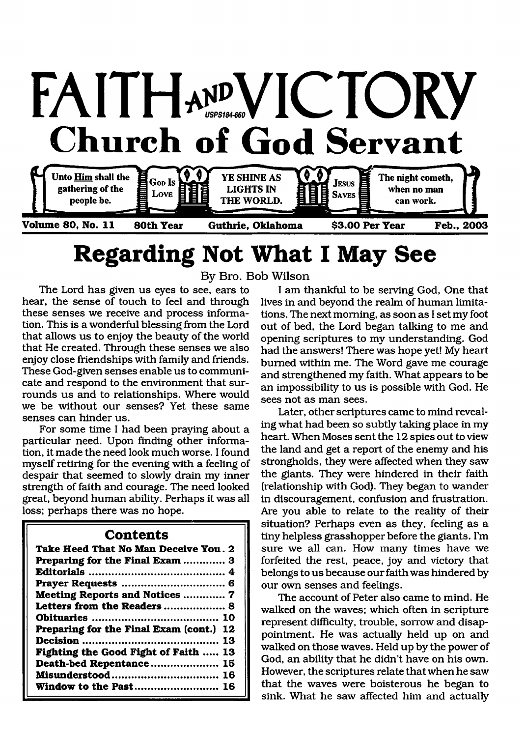

# **Regarding Not What I May See**

**By Bro. Bob Wilson**

hear, the sense of touch to feel and through these senses we receive and process information. This is a wonderful blessing from the Lord that allows us to enjoy the beauty of the world that He created. Through these senses we also enjoy close friendships with family and friends. These God-given senses enable us to communicate and respond to the environment that surrounds us and to relationships. Where would we be without our senses? Yet these same senses can hinder us.

For some time I had been praying about a particular need. Upon finding other information, it made the need look much worse. I found myself retiring for the evening with a feeling of despair that seemed to slowly drain my inner strength of faith and courage. The need looked great, beyond human ability. Perhaps it was all loss; perhaps there was no hope.

#### **Contents**

| Take Heed That No Man Deceive You. 2       |
|--------------------------------------------|
| Preparing for the Final Exam  3            |
|                                            |
|                                            |
| <b>Meeting Reports and Notices  7</b>      |
| Letters from the Readers  8                |
|                                            |
| Preparing for the Final Exam (cont.)<br>12 |
|                                            |
| Fighting the Good Fight of Faith<br>13     |
| Death-bed Repentance 15                    |
|                                            |
| Window to the Past 16                      |

The Lord has given us eyes to see, ears to I am thankful to be serving God, One that I am, the sense of touch to feel and through lives in and beyond the realm of human limitations. The next morning, as soon as I set my foot out of bed, the Lord began talking to me and opening scriptures to my understanding. God had the answers! There was hope yet! My heart burned within me. The Word gave me courage and strengthened my faith. What appears to be an impossibility to us is possible with God. He sees not as man sees.

> Later, other scriptures came to mind revealing what had been so subtly taking place in my heart. When Moses sent the 12 spies out to view the land and get a report of the enemy and his strongholds, they were affected when they saw the giants. They were hindered in their faith (relationship with God). They began to wander in discouragement, confusion and frustration. Are you able to relate to the reality of their situation? Perhaps even as they, feeling as a tiny helpless grasshopper before the giants. I'm sure we all can. How many times have we forfeited the rest, peace, joy and victory that belongs to us because our faith was hindered by our own senses and feelings.

> The account of Peter also came to mind. He walked on the waves; which often in scripture represent difficulty, trouble, sorrow and disappointment. He was actually held up on and walked on those waves. Held up by the power of God, an ability that he didn't have on his own. However, the scriptures relate that when he saw that the waves were boisterous he began to sink. What he saw affected him and actually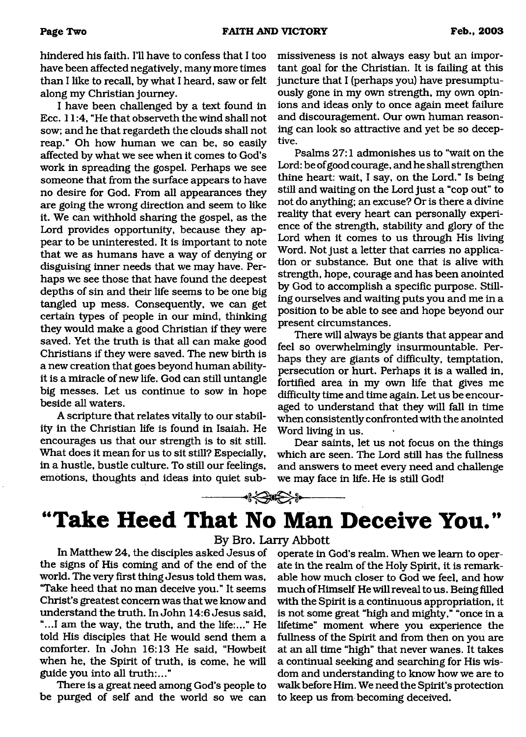hindered his faith. I'll have to confess that I too have been affected negatively, many more times than I like to recall, by what I heard, saw or felt along my Christian journey.

I have been challenged by a text found in Ecc. 11:4, "He that observeth the wind shall not sow; and he that regardeth the clouds shall not reap." Oh how human we can be, so easily affected by what we see when it comes to God's work in spreading the gospel. Perhaps we see someone that from the surface appears to have no desire for God. From all appearances they are going the wrong direction and seem to like it. We can withhold sharing the gospel, as the Lord provides opportunity, because they appear to be uninterested. It is important to note that we as humans have a way of denying or disguising inner needs that we may have. Perhaps we see those that have found the deepest depths of sin and their life seems to be one big tangled up mess. Consequently, we can get certain types of people in our mind, thinking they would make a good Christian if they were saved. Yet the truth is that all can make good Christians if they were saved. The new birth is a new creation that goes beyond human abilityit is a miracle of new life. God can still untangle big messes. Let us continue to sow in hope beside all waters.

A scripture that relates vitally to our stability in the Christian life is found in Isaiah. He encourages us that our strength is to sit still. What does it mean for us to sit still? Especially, in a hustle, bustle culture. To still our feelings, emotions, thoughts and ideas into quiet submissiveness is not always easy but an important goal for the Christian. It is failing at this juncture that I (perhaps you) have presumptuously gone in my own strength, my own opinions and ideas only to once again meet failure and discouragement. Our own human reasoning can look so attractive and yet be so deceptive.

Psalms 27:1 admonishes us to "wait on the Lord: be of good courage, and he shall strengthen thine heart: wait, I say, on the Lord." Is being still and waiting on the Lord just a "cop out" to not do anything; an excuse? Or is there a divine reality that every heart can personally experience of the strength, stability and glory of the Lord when it comes to us through His living Word. Not just a letter that carries no application or substance. But one that is alive with strength, hope, courage and has been anointed by God to accomplish a specific purpose. Stilling ourselves and waiting puts you and me in a position to be able to see and hope beyond our present circumstances.

There will always be giants that appear and feel so overwhelmingly insurmountable. Perhaps they are giants of difficulty, temptation, persecution or hurt. Perhaps it is a walled in, fortified area in my own life that gives me difficulty time and time again. Let us be encouraged to understand that they will fall in time when consistently confronted with the anointed Word living in us.

Dear saints, let us not focus on the things which are seen. The Lord still has the fullness and answers to meet every need and challenge we may face in life. He is still God!

### **DEXERGEX**

# **"Take Heed That No Man Deceive You."**

**By Bro. Larry Abbott**

In Matthew 24, the disciples asked Jesus of the signs of His coming and of the end of the world. The very first thing Jesus told them was, "Take heed that no man deceive you." It seems Christ's greatest concern was that we know and understand the truth. In John 14:6 Jesus said, "...I am the way, the truth, and the life:..." He told His disciples that He would send them a comforter. In John 16:13 He said, "Howbeit when he, the Spirit of truth, is come, he will guide you into all truth:..."

There is a great need among God's people to be purged of self and the world so we can

operate in God's realm. When we learn to operate in the realm of the Holy Spirit, it is remarkable how much closer to God we feel, and how much of Himself He will reveal to us. Being filled with the Spirit is a continuous appropriation, it is not some great "high and mighty," "once in a lifetime" moment where you experience the fullness of the Spirit and from then on you are at an all time "high" that never wanes. It takes a continual seeking and searching for His wisdom and understanding to know how we are to walk before Him. We need the Spirit's protection to keep us from becoming deceived.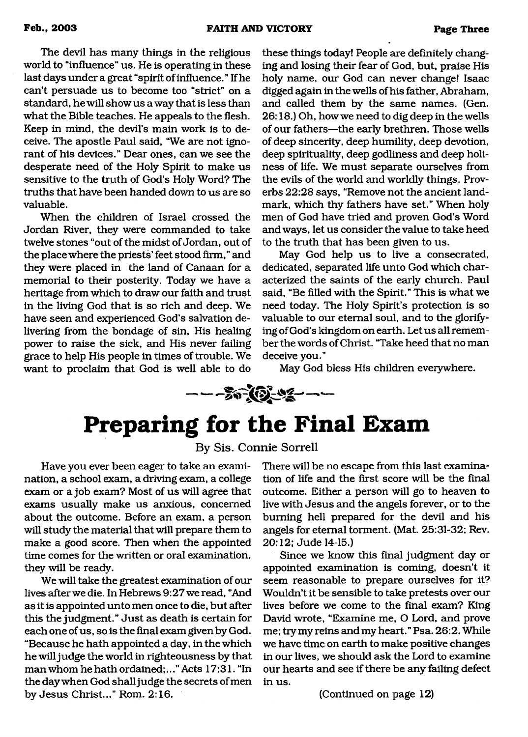The devil has many things in the religious world to "influence" us. He is operating in these last days under a great "spirit of influence. " If he can't persuade us to become too "strict" on a standard, he will show us a way that is less than what the Bible teaches. He appeals to the flesh. Keep in mind, the devil's main work is to deceive. The apostle Paul said, "We are not ignorant of his devices." Dear ones, can we see the desperate need of the Holy Spirit to make us sensitive to the truth of God's Holy Word? The truths that have been handed down to us are so valuable.

When the children of Israel crossed the Jordan River, they were commanded to take twelve stones "out of the midst of Jordan, out of the place where the priests' feet stood firm," and they were placed in the land of Canaan for a memorial to their posterity. Today we have a heritage from which to draw our faith and trust in the living God that is so rich and deep. We have seen and experienced God's salvation delivering from the bondage of sin, His healing power to raise the sick, and His never failing grace to help His people in times of trouble. We want to proclaim that God is well able to do

these things today! People are definitely changing and losing their fear of God, but, praise His holy name, our God can never change! Isaac digged again in the wells of his father, Abraham, and called them by the same names. (Gen. 26:18.) Oh, how we need to dig deep in the wells of our fathers—the early brethren. Those wells of deep sincerity, deep humility, deep devotion, deep spirituality, deep godliness and deep holiness of life. We must separate ourselves from the evils of the world and worldly things. Proverbs 22:28 says, "Remove not the ancient landmark, which thy fathers have set." When holy men of God have tried and proven God's Word and ways, let us consider the value to take heed to the truth that has been given to us.

May God help us to live a consecrated, dedicated, separated life unto God which characterized the saints of the early church. Paul said, "Be filled with the Spirit." This is what we need today. The Holy Spirit's protection is so valuable to our eternal soul, and to the glorifying of God's kingdom on earth. Let us all remember the words of Christ. "Take heed that no man deceive you."

May God bless His children everywhere.

 $-$  -  $\sqrt[3]{2}$   $\sqrt[3]{2}$  -  $-$ 

# <span id="page-2-0"></span>**Preparing for the Final Exam**

**By Sis. Connie Sorrell**

Have you ever been eager to take an examination, a school exam, a driving exam, a college exam or a job exam? Most of us will agree that exams usually make us anxious, concerned about the outcome. Before an exam, a person will study the material that will prepare them to make a good score. Then when the appointed time comes for the written or oral examination, they will be ready.

We will take the greatest examination of our lives after we die. In Hebrews 9:27 we read, "And as it is appointed unto men once to die, but after this the judgment." Just as death is certain for each one of us, so is the final exam given by God. "Because he hath appointed a day, in the which he will judge the world in righteousness by that man whom he hath ordained;..." Acts 17:31. "In the day when God shall judge the secrets of men by Jesus Christ..." Rom. 2:16.

There will be no escape from this last examination of life and the first score will be the final outcome. Either a person will go to heaven to live with Jesus and the angels forever, or to the burning hell prepared for the devil and his angels for eternal torment. (Mat. 25:31-32; Rev. 20:12; Jude 14-15.)

Since we know this final judgment day or appointed examination is coming, doesn't it seem reasonable to prepare ourselves for it? Wouldn't it be sensible to take pretests over our lives before we come to the final exam? King David wrote, "Examine me, O Lord, and prove me; try my reins and my heart." Psa. 26:2. While we have time on earth to make positive changes in our lives, we should ask the Lord to examine our hearts and see if there be any failing defect in us.

(Continued on page 12)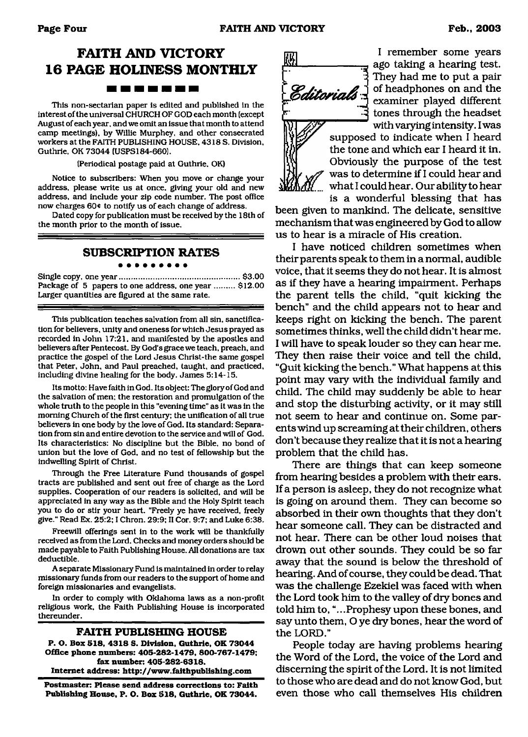### **FAITH AND VICTORY 16 PAGE HOLINESS MONTHLY** ------

This non-sectarian paper is edited and published in the interest of the universal CHURCH OF GOD each month (except August of each year, and we omit an issue that month to attend camp meetings), by Willie Murphey, and other consecrated workers at the FAITH PUBLISHING HOUSE. 4318 S. Division. Guthrie. OK 73044 (USPS184-660).

(Periodical postage paid at Guthrie, OK)

Notice to subscribers: When you move or change your address, please write us at once, giving your old and new address, and include your zip code number. The post office now charges 60 $\epsilon$  to notify us of each change of address.

Dated copy for publication must be received by the 18th of the month prior to the month of issue.

#### **SUBSCRIPTION RATES**

Single copy, one year..................................................... \$3.00 Package of 5 papers to one address, one year ......... \$12.00 Larger quantities are figured at the same rate.

This publication teaches salvation from all sin. sanctification for believers, unity and oneness for which Jesus prayed as recorded in John 17:21, and manifested by the apostles and believers after Pentecost. By God's grace we teach, preach, and practice the gospel of the Lord Jesus Christ-the same gospel that Peter. John, and Paul preached, taught, and practiced, including divine healing for the body. James 5:14-15.

Its motto: Have faith in God. Its object: The glory of God and the salvation of men; the restoration and promulgation of the whole truth to the people in this "evening time" as it was in the morning Church of the first century; the unification of all true believers in one body by the love of God. Its standard: Separation from sin and entire devotion to the service and will of God. Its characteristics: No discipline but the Bible, no bond of union but the love of God, and no test of fellowship but the indwelling Spirit of Christ.

Through the Free Literature Fund thousands of gospel tracts are published and sent out free of charge as the Lord supplies. Cooperation of our readers is solicited, and will be appreciated in any way as the Bible and the Holy Spirit teach you to do or stir your heart. "Freely ye have received, freely give." Read Ex. 25:2; I Chron. 29:9; II Cor. 9:7; and Luke 6:38.

Freewill offerings sent in to the work will be thankfully received as from the Lord. Checks and money orders should be made payable to Faith Publishing House. All donations are tax deductible.

A separate Missionary Fund is maintained in order to relay missionary funds from our readers to the support of home and foreign missionaries and evangelists.

In order to comply with Oklahoma laws as a non-profit religious work, the Faith Publishing House is incorporated thereunder.

#### **FAITH PUBLISHING HOUSE**

**P. O. Box 518, 4318 S. Division. Guthrie, OK 73044 Office phone numbers: 405-282-1479, 800-767-1479; fax number: 405-282-6318. Internet address: <http://www.faithpublishing.com>**

**Postmaster: Please send address corrections to: Faith Publishing House, P. O. Box 518, Guthrie, OK 73044.**



I remember some years ago taking a hearing test. They had me to put a pair of headphones on and the examiner played different tones through the headset with varying intensity. I was

supposed to indicate when I heard the tone and which ear I heard it in. Obviously the purpose of the test was to determine if I could hear and what I could hear. Our ability to hear is a wonderful blessing that has

been given to mankind. The delicate, sensitive mechanism that was engineered by God to allow us to hear is a miracle of His creation.

I have noticed children sometimes when their parents speak to them in a normal, audible voice, that it seems they do not hear. It is almost as if they have a hearing impairment. Perhaps the parent tells the child, "quit kicking the bench" and the child appears not to hear and keeps right on kicking the bench. The parent sometimes thinks, well the child didn't hear me. I will have to speak louder so they can hear me. They then raise their voice and tell the child, "Quit kicking the bench." What happens at this point may vary with the individual family and child. The child may suddenly be able to hear and stop the disturbing activity, or it may still not seem to hear and continue on. Some parents wind up screaming at their children, others don't because they realize that it is not a hearing problem that the child has.

There are things that can keep someone from hearing besides a problem with their ears. If a person is asleep, they do not recognize what is going on around them. They can become so absorbed in their own thoughts that they don't hear someone call. They can be distracted and not hear. There can be other loud noises that drown out other sounds. They could be so far away that the sound is below the threshold of hearing. And of course, they could be dead. That was the challenge Ezekiel was faced with when the Lord took him to the valley of dry bones and told him to, "...Prophesy upon these bones, and say unto them, O ye dry bones, hear the word of the LORD."

People today are having problems hearing the Word of the Lord, the voice of the Lord and discerning the spirit of the Lord. It is not limited to those who are dead and do not know God, but even those who call themselves His children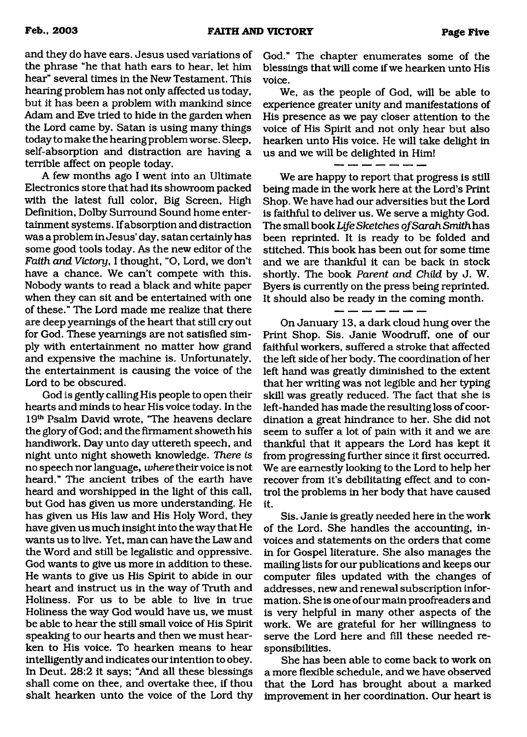and they do have ears. Jesus used variations of the phrase "he that hath ears to hear, let him hear" several times in the New Testament. This hearing problem has not only affected us today, but it has been a problem with mankind since Adam and Eve tried to hide in the garden when the Lord came by. Satan is using many things today to make the hearing problem worse. Sleep, self-absorption and distraction are having a terrible affect on people today.

A few months ago I went into an Ultimate Electronics store that had its showroom packed with the latest full color, Big Screen, High Definition, Dolby Surround Sound home entertainment systems. If absorption and distraction was a problem in Jesus' day, satan certainly has some good tools today. As the new editor of the *Faith and Victory*, I thought, "O, Lord, we don't have a chance. We can't compete with this. Nobody wants to read a black and white paper when they can sit and be entertained with one of these." The Lord made me realize that there are deep yearnings of the heart that still cry out for God. These yearnings are not satisfied simply with entertainment no matter how grand and expensive the machine is. Unfortunately, the entertainment is causing the voice of the Lord to be obscured.

God is gently calling His people to open their hearts and minds to hear His voice today. In the 19th Psalm David wrote, "The heavens declare the glory of God; and the firmament showeth his handiwork. Day unto day uttereth speech, and night unto night showeth knowledge. *There is* no speech nor language, *where* their voice is not heard." The ancient tribes of the earth have heard and worshipped in the light of this call, but God has given us more understanding. He has given us His law and His Holy Word, they have given us much insight into the way that He wants us to live. Yet, man can have the Law and the Word and still be legalistic and oppressive. God wants to give us more in addition to these. He wants to give us His Spirit to abide in our heart and instruct us in the way of Truth and Holiness. For us to be able to live in true Holiness the way God would have us, we must be able to hear the still small voice of His Spirit speaking to our hearts and then we must hearken to His voice. To hearken means to hear intelligently and indicates our intention to obey. In Deut. 28:2 it says; "And all these blessings shall come on thee, and overtake thee, if thou shalt hearken unto the voice of the Lord thy God." The chapter enumerates some of the blessings that will come if we hearken unto His voice.

We, as the people of God, will be able to experience greater unity and manifestations of His presence as we pay closer attention to the voice of His Spirit and not only hear but also hearken unto His voice. He will take delight in us and we will be delighted in Him!

We are happy to report that progress is still being made in the work here at the Lord's Print Shop. We have had our adversities but the Lord is faithful to deliver us. We serve a mighty God. The small book *Life Sketches o f Sarah Smith* has been reprinted. It is ready to be folded and stitched. This book has been out for some time and we are thankful it can be back in stock shortly. The book *Parent and Child* by J. W. Byers is currently on the press being reprinted. It should also be ready in the coming month.

On January 13, a dark cloud hung over the Print Shop. Sis. Janie Woodruff, one of our faithful workers, suffered a stroke that affected the left side of her body. The coordination of her left hand was greatly diminished to the extent that her writing was not legible and her typing skill was greatly reduced. The fact that she is left-handed has made the resulting loss of coordination a great hindrance to her. She did not seem to suffer a lot of pain with it and we are thankful that it appears the Lord has kept it from progressing further since it first occurred. We are earnestly looking to the Lord to help her recover from it's debilitating effect and to control the problems in her body that have caused it.

Sis. Janie is greatly needed here in the work of the Lord. She handles the accounting, invoices and statements on the orders that come in for Gospel literature. She also manages the mailing lists for our publications and keeps our computer files updated with the changes of addresses, new and renewal subscription information. She is one of our main proofreaders and is very helpful in many other aspects of the work. We are grateful for her willingness to serve the Lord here and fill these needed responsibilities.

She has been able to come back to work on a more flexible schedule, and we have observed that the Lord has brought about a marked improvement in her coordination. Our heart is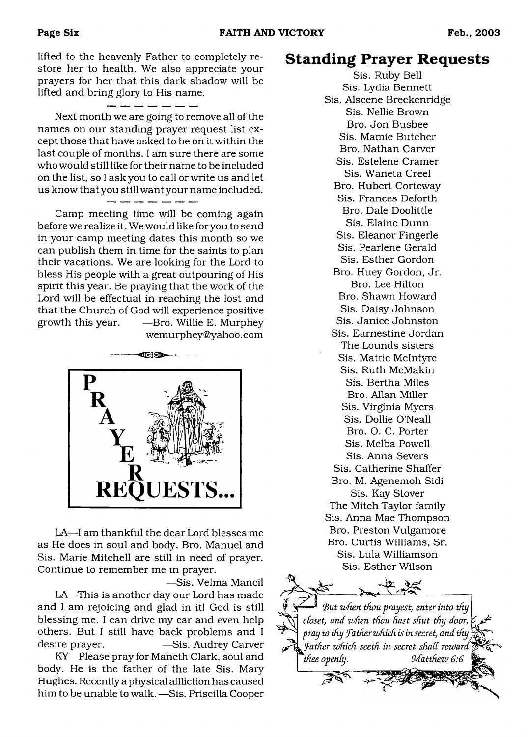lifted to the heavenly Father to completely restore her to health. We also appreciate your prayers for her that this dark shadow will be lifted and bring glory to His name.

- - - - - - -

Next month we are going to remove all of the names on our standing prayer request list except those that have asked to be on it within the last couple of months. I am sure there are some who would still like for their name to be included on the list, so I ask you to call or write us and let us know that you still want your name included.

- -- -- -- --

Camp meeting time will be coming again before we realize it. We would like for you to send in your camp meeting dates this month so we can publish them in time for the saints to plan their vacations. We are looking for the Lord to bless His people with a great outpouring of His spirit this year. Be praying that the work of the Lord will be effectual in reaching the lost and that the Church of God will experience positive growth this year. —Bro. Willie E. Murphey wemurphey@yahoo .com



LA—I am thankful the dear Lord blesses me as He does in soul and body. Bro. Manuel and Sis. Marie Mitchell are still in need of prayer. Continue to remember me in prayer.

—Sis. Velma Mancil

LA—This is another day our Lord has made and I am rejoicing and glad in it! God is still blessing me. I can drive my car and even help others. But I still have back problems and I desire prayer. — — — Sis. Audrey Carver

KY—Please pray for Maneth Clark, soul and body. He is the father of the late Sis. Mary Hughes. Recently a physical affliction has caused him to be unable to walk. —Sis. Priscilla Cooper

### **Standing Prayer Requests**

Sis. Ruby Bell Sis. Lydia Bennett Sis. Alscene Breckenridge Sis. Nellie Brown Bro. Jon Busbee Sis. Mamie Butcher Bro. Nathan Carver Sis. Estelene Cramer Sis. Waneta Creel Bro. Hubert Corteway Sis. Frances Deforth Bro. Dale Doolittle Sis. Elaine Dunn Sis. Eleanor Fingerle Sis. Pearlene Gerald Sis. Esther Gordon Bro. Huey Gordon, Jr. Bro. Lee Hilton Bro. Shawn Howard Sis. Daisy Johnson Sis. Janice Johnston Sis. Eamestine Jordan The Lounds sisters Sis. Mattie McIntyre Sis. Ruth McMakin Sis. Bertha Miles Bro. Allan Miller Sis. Virginia Myers Sis. Dollie O'Neall Bro. O. C. Porter Sis. Melba Powell Sis. Anna Severs Sis. Catherine Shaffer Bro. M. Agenemoh Sidi Sis. Kay Stover The Mitch Taylor family Sis. Anna Mae Thompson Bro. Preston Vulgamore Bro. Curtis Williams, Sr. Sis. Lula Williamson Sis. Esther Wilson

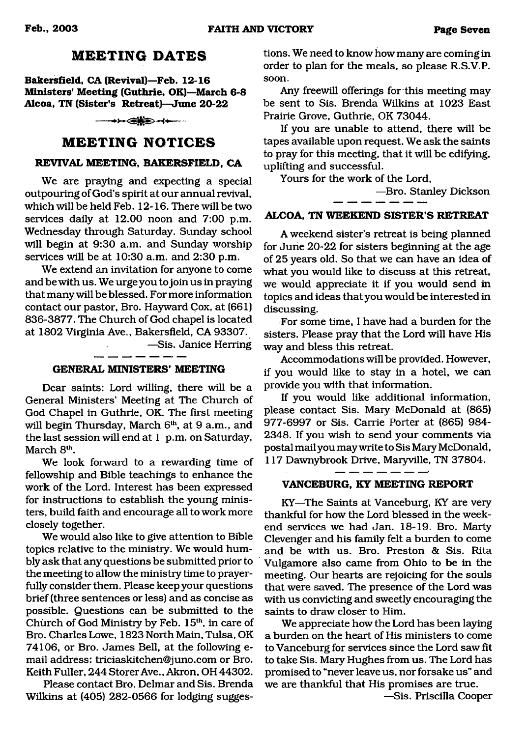### **MEETING DATES**

**Bakersfield, CA (Revival)—Feb. 12-16 Ministers' Meeting (Guthrie, OK)—March 6-8 Alcoa, TN (Sister's Retreat)—June 20-22**

 $\longrightarrow \Leftrightarrow$ 

### **MEETING NOTICES**

#### **REVIVAL MEETING, BAKERSFIELD, CA**

We are praying and expecting a special outpouring of God's spirit at our annual revival, which will be held Feb. 12-16. There will be two services daily at 12.00 noon and 7:00 p.m. Wednesday through Saturday. Sunday school will begin at 9:30 a.m. and Sunday worship services will be at 10:30 a.m. and 2:30 p.m.

We extend an invitation for anyone to come and be with us. We urge you to join us in praying that many will be blessed. For more information contact our pastor, Bro. Hayward Cox, at (661) 836-3877. The Church of God chapel is located at 1802 Virginia Ave., Bakersfield, CA 93307. —Sis. Janice Herring  $\Delta \sim 10^4$ 

#### **GENERAL MINISTERS' MEETING**

Dear saints: Lord willing, there will be a General Ministers' Meeting at The Church of God Chapel in Guthrie, OK. The first meeting will begin Thursday, March 6<sup>th</sup>, at 9 a.m., and the last session will end at 1 p.m. on Saturday, March 8<sup>th</sup>.

We look forward to a rewarding time of fellowship and Bible teachings to enhance the work of the Lord. Interest has been expressed for instructions to establish the young ministers, build faith and encourage all to work more closely together.

We would also like to give attention to Bible topics relative to the ministry. We would humbly ask that any questions be submitted prior to the meeting to allow the ministry time to prayerfully consider them. Please keep your questions brief (three sentences or less) and as concise as possible. Questions can be submitted to the Church of God Ministry by Feb. 15<sup>th</sup>, in care of Bro. Charles Lowe, 1823 North Main, Tulsa, OK 74106, or Bro. James Bell, at the following email address: [triciaskitchen@juno.com](mailto:triciaskitchen@juno.com) or Bro. Keith Fuller, 244 Storer Ave., Akron, OH 44302.

Please contact Bro. Delmar and Sis. Brenda Wilkins at (405) 282-0566 for lodging suggestions. We need to know how many are coming in order to plan for the meals, so please R.S.V.P. soon.

Any freewill offerings for this meeting may be sent to Sis. Brenda Wilkins at 1023 East Prairie Grove, Guthrie, OK 73044.

If you are unable to attend, there will be tapes available upon request. We ask the saints to pray for this meeting, that it will be edifying, uplifting and successful.

Yours for the work of the Lord,

—Bro. Stanley Dickson

#### **ALCOA, TN WEEKEND SISTER'S RETREAT**

A weekend sister's retreat is being planned for June 20-22 for sisters beginning at the age of 25 years old. So that we can have an idea of what you would like to discuss at this retreat, we would appreciate it if you would send in topics and ideas that you would be interested in discussing.

For some time, I have had a burden for the sisters. Please pray that the Lord will have His way and bless this retreat.

Accommodations will be provided. However, if you would like to stay in a hotel, we can provide you with that information.

If you would like additional information, please contact Sis. Mary McDonald at (865) 977-6997 or Sis. Carrie Porter at (865) 984- 2348. If you wish to send your comments via postal mail you may write to Sis Mary McDonald, 117 Dawnybrook Drive, Maryville, TN 37804.

-------**VANCEBURG, KY MEETING REPORT**

KY—The Saints at Vanceburg, KY are very thankful for how the Lord blessed in the weekend services we had Jan. 18-19. Bro. Marty Clevenger and his family felt a burden to come and be with us. Bro. Preston & Sis. Rita Vulgamore also came from Ohio to be in the meeting. Our hearts are rejoicing for the souls that were saved. The presence of the Lord was with us convicting and sweetly encouraging the saints to draw closer to Him.

We appreciate how the Lord has been laying a burden on the heart of His ministers to come to Vanceburg for services since the Lord saw fit to take Sis. Mary Hughes from us. The Lord has promised to "never leave us, nor forsake us" and we are thankful that His promises are true.

—Sis. Priscilla Cooper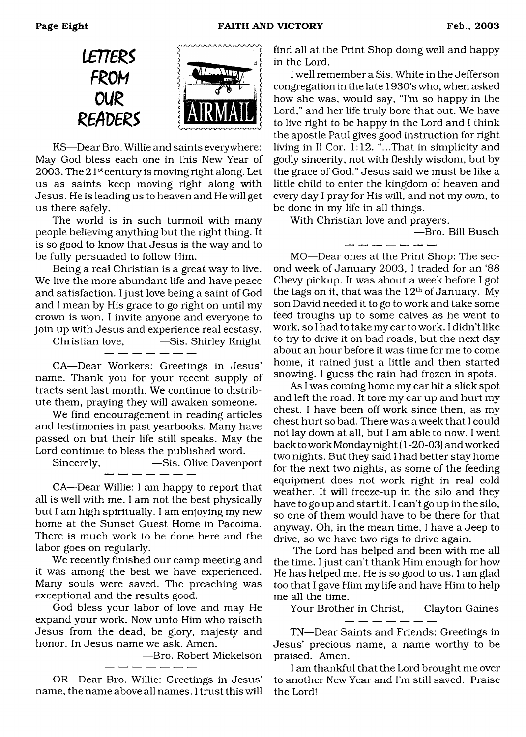

KS—Dear Bro. Willie and saints eveiywhere: May God bless each one in this New Year of 2003. The  $21<sup>st</sup>$  century is moving right along. Let us as saints keep moving right along with Jesus. He is leading us to heaven and He will get us there safely.

The world is in such turmoil with many people believing anything but the right thing. It is so good to know that Jesus is the way and to be fully persuaded to follow Him.

Being a real Christian is a great way to live. We live the more abundant life and have peace and satisfaction. I just love being a saint of God and I mean by His grace to go right on until my crown is won. I invite anyone and everyone to join up with Jesus and experience real ecstasy.

Christian love, —Sis. Shirley Knight \_ \_\_ \_ \_ \_ \_ \_

CA—Dear Workers: Greetings in Jesus' name. Thank you for your recent supply of tracts sent last month. We continue to distribute them, praying they will awaken someone.

We find encouragement in reading articles and testimonies in past yearbooks. Many have passed on but their life still speaks. May the Lord continue to bless the published word.

Sincerely,  $-$ Sis. Olive Davenport

CA—Dear Willie: I am happy to report that all is well with me. I am not the best physically but I am high spiritually. I am enjoying my new home at the Sunset Guest Home in Pacoima. There is much work to be done here and the labor goes on regularly.

We recently finished our camp meeting and it was among the best we have experienced. Many souls were saved. The preaching was exceptional and the results good.

God bless your labor of love and may He expand your work. Now unto Him who raiseth Jesus from the dead, be glory, majesty and honor, In Jesus name we ask. Amen.

—Bro. Robert Mickelson

OR—Dear Bro. Willie: Greetings in Jesus' name, the name above all names. I trust this will

------

find all at the Print Shop doing well and happy in the Lord.

I well remember a Sis. White in the Jefferson congregation in the late 1930's who, when asked how she was, would say, "I'm so happy in the Lord," and her life truly bore that out. We have to live right to be happy in the Lord and I think the apostle Paul gives good instruction for right living in II Cor. 1:12. "...That in simplicity and godly sincerity, not with fleshly wisdom, but by the grace of God." Jesus said we must be like a little child to enter the kingdom of heaven and every day I pray for His will, and not my own, to be done in my life in all things.

With Christian love and prayers,

—Bro. Bill Busch

MO—Dear ones at the Print Shop: The second week of January 2003, I traded for an '88 Chevy pickup. It was about a week before I got the tags on it, that was the  $12<sup>th</sup>$  of January. My son David needed it to go to work and take some feed troughs up to some calves as he went to work, so I had to take my car to work. I didn't like to try to drive it on bad roads, but the next day about an hour before it was time for me to come home, it rained just a little and then started snowing. I guess the rain had frozen in spots.

As I was coming home my car hit a slick spot and left the road. It tore my car up and hurt my chest. I have been off work since then, as my chest hurt so bad. There was a week that I could not lay down at all, but I am able to now. I went back to work Monday night (1 -20-03) and worked two nights. But they said I had better stay home for the next two nights, as some of the feeding equipment does not work right in real cold weather. It will freeze-up in the silo and they have to go up and start it. I can't go up in the silo, so one of them would have to be there for that anyway. Oh, in the mean time, I have a Jeep to drive, so we have two rigs to drive again.

The Lord has helped and been with me all the time. I just can't thank Him enough for how He has helped me. He is so good to us. I am glad too that I gave Him my life and have Him to help me all the time.

Your Brother in Christ, —Clayton Gaines

TN—Dear Saints and Friends: Greetings in Jesus' precious name, a name worthy to be praised. Amen.

I am thankful that the Lord brought me over to another New Year and I'm still saved. Praise the Lord!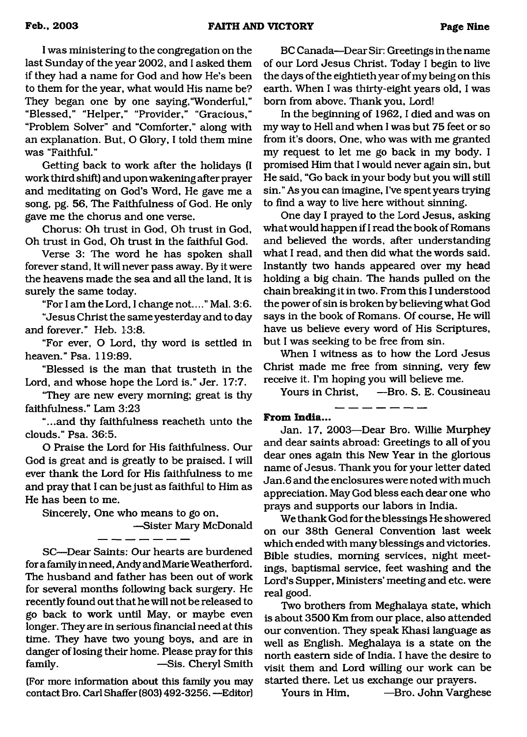I was ministering to the congregation on the last Sunday of the year 2002, and I asked them if they had a name for God and how He's been to them for the year, what would His name be? They began one by one saying,"Wonderful," "Blessed," "Helper," "Provider," "Gracious," "Problem Solver" and "Comforter," along with an explanation. But, O Glory, I told them mine was "Faithful."

Getting back to work after the holidays (I work third shift) and upon wakening after prayer and meditating on God's Word, He gave me a song, pg. 56, The Faithfulness of God. He only gave me the chorus and one verse.

Chorus: Oh trust in God, Oh trust in God, Oh trust in God, Oh trust in the faithful God.

Verse 3: The word he has spoken shall forever stand, It will never pass away. By it were the heavens made the sea and all the land, It is surely the same today.

"For I am the Lord, I change not...." Mai. 3:6.

"Jesus Christ the same yesterday and to day and forever." Heb. 13:8.

"For ever, O Lord, thy word is settled in heaven." Psa. 119:89.

"Blessed is the man that trusteth in the Lord, and whose hope the Lord is." Jer. 17:7.

"They are new every morning; great is thy faithfulness." Lam 3:23

"...and thy faithfulness reacheth unto the clouds." Psa. 36:5.

O Praise the Lord for His faithfulness. Our God is great and is greatly to be praised. I will ever thank the Lord for His faithfulness to me and pray that I can be just as faithful to Him as He has been to me.

Sincerely, One who means to go on,

—Sister Mary McDonald

SC—Dear Saints: Our hearts are burdened for a family in need, Andy and Marie Weatherford. The husband and father has been out of work for several months following back surgery. He recently found out that he will not be released to go back to work until May, or maybe even longer. They are in serious financial need at this time. They have two young boys, and are in danger of losing their home. Please pray for this family. — Sis. Cheryl Smith

(For more information about this family you may contact Bro. Carl Shaffer (803) 492-3256. —Editor)

BC Canada—Dear Sir: Greetings in the name of our Lord Jesus Christ. Today I begin to live the days of the eightieth year of my being on this earth. When I was thirty-eight years old, I was bom from above. Thank you, Lord!

In the beginning of 1962, I died and was on my way to Hell and when I was but 75 feet or so from it's doors, One, who was with me granted my request to let me go back in my body. I promised Him that I would never again sin, but He said, "Go back in your body but you will still sin." As you can imagine, I've spent years trying to find a way to live here without sinning.

One day I prayed to the Lord Jesus, asking what would happen if I read the book of Romans and believed the words, after understanding what I read, and then did what the words said. Instantly two hands appeared over my head holding a big chain. The hands pulled on the chain breaking it in two. From this I understood the power of sin is broken by believing what God says in the book of Romans. Of course, He will have us believe every word of His Scriptures, but I was seeking to be free from sin.

When I witness as to how the Lord Jesus Christ made me free from sinning, very few receive it. I'm hoping you will believe me.

Yours in Christ, —Bro. S. E. Cousineau

#### **From India...**

Jan. 17, 2003—Dear Bro. Willie Murphey and dear saints abroad: Greetings to all of you dear ones again this New Year in the glorious name of Jesus. Thank you for your letter dated Jan.6 and the enclosures were noted with much appreciation. May God bless each dear one who prays and supports our labors in India.

We thank God for the blessings He showered on our 38th General Convention last week which ended with many blessings and victories. Bible studies, morning services, night meetings, baptismal service, feet washing and the Lord's Supper, Ministers' meeting and etc. were real good.

Two brothers from Meghalaya state, which is about 3500 Km from our place, also attended our convention. They speak Khasi language as well as English. Meghalaya is a state on the north eastern side of India. I have the desire to visit them and Lord willing our work can be started there. Let us exchange our prayers.

Yours in Him, —Bro. John Varghese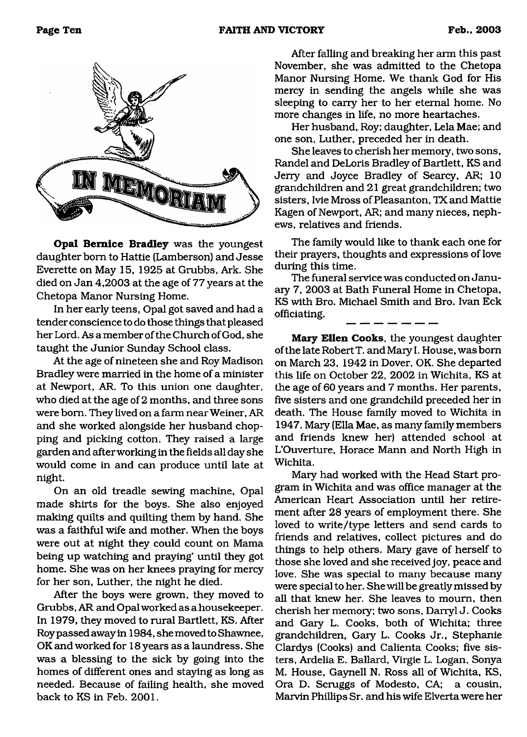

**Opal Bernice Bradley** was the youngest daughter bom to Hattie (Lamberson) and Jesse Everette on May 15, 1925 at Grubbs, Ark. She died on Jan 4,2003 at the age of 77 years at the Chetopa Manor Nursing Home.

In her early teens, Opal got saved and had a tender conscience to do those things that pleased her Lord. As a member of the Church of God, she taught the Junior Sunday School class.

At the age of nineteen she and Roy Madison Bradley were married in the home of a minister at Newport, AR. To this union one daughter, who died at the age of 2 months, and three sons were bom. They lived on a farm near Weiner, AR and she worked alongside her husband chopping and picking cotton. They raised a large garden and after working in the fields all day she would come in and can produce until late at night.

On an old treadle sewing machine, Opal made shirts for the boys. She also enjoyed making quilts and quilting them by hand. She was a faithful wife and mother. When the boys were out at night they could count on Mama being up watching and praying' until they got home. She was on her knees praying for mercy for her son, Luther, the night he died.

After the boys were grown, they moved to Grubbs, AR and Opal worked as a housekeeper. In 1979, they moved to rural Bartlett, KS. After Roy passed away in 1984, she moved to Shawnee, OK and worked for 18 years as a laundress. She was a blessing to the sick by going into the homes of different ones and staying as long as needed. Because of failing health, she moved back to KS in Feb. 2001.

After falling and breaking her arm this past November, she was admitted to the Chetopa Manor Nursing Home. We thank God for His mercy in sending the angels while she was sleeping to carry her to her eternal home. No more changes in life, no more heartaches.

Her husband, Roy; daughter, Lela Mae; and one son, Luther, preceded her in death.

She leaves to cherish her memory, two sons, Randel and DeLoris Bradley of Bartlett, KS and Jerry and Joyce Bradley of Searcy, AR; 10 grandchildren and 21 great grandchildren; two sisters, Ivie Mross of Pleasanton, TX and Mattie Kagen of Newport, AR; and many nieces, nephews, relatives and friends.

The family would like to thank each one for their prayers, thoughts and expressions of love during this time.

The funeral service was conducted on January 7, 2003 at Bath Funeral Home in Chetopa, KS with Bro. Michael Smith and Bro. Ivan Eck officiating.

**Mary Ellen Cooks,** the youngest daughter of the late Robert T. and Mary I. House, was bom on March 23, 1942 in Dover, OK. She departed this life on October 22, 2002 in Wichita, KS at the age of 60 years and 7 months. Her parents, five sisters and one grandchild preceded her in death. The House family moved to Wichita in 1947. Mary (Ella Mae, as many family members and friends knew her) attended school at L'Ouverture, Horace Mann and North High in Wichita.

Mary had worked with the Head Start program in Wichita and was office manager at the American Heart Association until her retirement after 28 years of employment there. She loved to write/type letters and send cards to friends and relatives, collect pictures and do things to help others. Mary gave of herself to those she loved and she received joy, peace and love. She was special to many because many were special to her. She will be greatly missed by all that knew her. She leaves to mourn, then cherish her memory; two sons, Darryl J. Cooks and Gary L. Cooks, both of Wichita; three grandchildren, Gary L. Cooks Jr., Stephanie Clardys (Cooks) and Calienta Cooks; five sisters, Ardelia E. Ballard, Virgie L. Logan, Sonya M. House, Gaynell N. Ross all of Wichita, KS, Ora D. Scruggs of Modesto, CA; a cousin, Marvin Phillips Sr. and his wife Elverta were her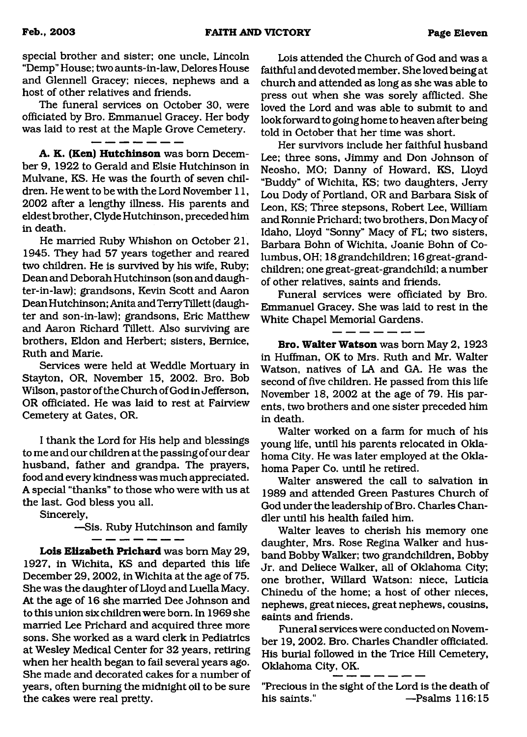special brother and sister; one uncle, Lincoln "Demp" House; two aunts-in-law, Delores House and Glennell Gracey; nieces, nephews and a host of other relatives and friends.

The funeral services on October 30, were officiated by Bro. Emmanuel Gracey. Her body was laid to rest at the Maple Grove Cemetery.<br> $\frac{m}{n} = \frac{m}{n} = \frac{m}{n} = \frac{1}{n}$ 

**A. K. (Ken) Hutchinson** was bom December 9, 1922 to Gerald and Elsie Hutchinson in Mulvane, KS. He was the fourth of seven children. He went to be with the Lord November 11, 2002 after a lengthy illness. His parents and eldest brother, Clyde Hutchinson, preceded him in death.

He married Ruby Whishon on October 21, 1945. They had 57 years together and reared two children. He is survived by his wife, Ruby; Dean and Deborah Hutchinson (son and daughter-in-law); grandsons, Kevin Scott and Aaron Dean Hutchinson; Anita and Terry Tillett (daughter and son-in-law); grandsons, Eric Matthew and Aaron Richard Tillett. Also surviving are brothers, Eldon and Herbert; sisters, Bernice, Ruth and Marie.

Services were held at Weddle Mortuary in Stayton, OR, November 15, 2002. Bro. Bob Wilson, pastor of the Church of God in Jefferson, OR officiated. He was laid to rest at Fairview Cemetery at Gates, OR.

I thank the Lord for His help and blessings to me and our children at the passing of our dear husband, father and grandpa. The prayers, food and every kindness was much appreciated. A special "thanks" to those who were with us at the last. God bless you all.

 $-$ 

Sincerely,

—Sis. Ruby Hutchinson and family

**Lois Elizabeth Prichard** was bom May 29, 1927, in Wichita, KS and departed this life December 29, 2002, in Wichita at the age of 75. She was the daughter of Lloyd and Luella Macy. At the age of 16 she married Dee Johnson and to this union six children were bom. In 1969 she married Lee Prichard and acquired three more sons. She worked as a ward clerk in Pediatrics at Wesley Medical Center for 32 years, retiring when her health began to fail several years ago. She made and decorated cakes for a number of years, often burning the midnight oil to be sure the cakes were real pretty.

Lois attended the Church of God and was a faithful and devoted member. She loved being at church and attended as long as she was able to press out when she was sorely afflicted. She loved the Lord and was able to submit to and look forward to going home to heaven after being told in October that her time was short.

Her survivors include her faithful husband Lee; three sons, Jimmy and Don Johnson of Neosho, MO; Danny of Howard, KS, Lloyd "Buddy" of Wichita, KS; two daughters, Jerry Lou Dody of Portland, OR and Barbara Sisk of Leon, KS; Three stepsons, Robert Lee, William and Ronnie Prichard; two brothers, Don Macy of Idaho, Lloyd "Sonny" Macy of FL; two sisters, Barbara Bohn of Wichita, Joanie Bohn of Columbus, OH; 18 grandchildren; 16 great-grandchildren; one great-great-grandchild; a number of other relatives, saints and friends.

Funeral services were officiated by Bro. Emmanuel Gracey. She was laid to rest in the White Chapel Memorial Gardens.

-----**Bro. Walter Watson** was bom May 2, 1923 in Huffman, OK to Mrs. Ruth and Mr. Walter Watson, natives of LA and GA. He was the second of five children. He passed from this life November 18, 2002 at the age of 79. His parents, two brothers and one sister preceded him in death.

Walter worked on a farm for much of his young life, until his parents relocated in Oklahoma City. He was later employed at the Oklahoma Paper Co. until he retired.

Walter answered the call to salvation in 1989 and attended Green Pastures Church of God under the leadership of Bro. Charles Chandler until his health failed him.

Walter leaves to cherish his memory one daughter, Mrs. Rose Regina Walker and husband Bobby Walker; two grandchildren, Bobby Jr. and Deliece Walker, all of Oklahoma City; one brother, Willard Watson: niece, Luticia Chinedu of the home; a host of other nieces, nephews, great nieces, great nephews, cousins, saints and friends.

Funeral services were conducted on November 19, 2002. Bro. Charles Chandler officiated. His burial followed in the Trice Hill Cemetery, Oklahoma City, OK.

"Precious in the sight of the Lord is the death of his saints." ——Psalms 116:15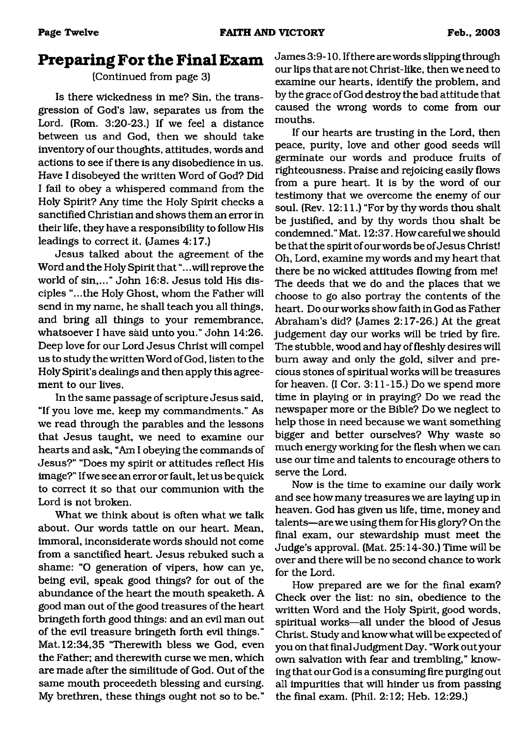### **Preparing For the Final Exam**

### (Continued from page 3)

Is there wickedness in me? Sin, the transgression of God's law, separates us from the Lord. (Rom. 3:20-23.) If we feel a distance between us and God, then we should take inventory of our thoughts, attitudes, words and actions to see if there is any disobedience in us. Have I disobeyed the written Word of God? Did I fail to obey a whispered command from the Holy Spirit? Any time the Holy Spirit checks a sanctified Christian and shows them an error in their life, they have a responsibility to follow His leadings to correct it. (James 4:17.)

Jesus talked about the agreement of the Word and the Holy Spirit that ".. .will reprove the world of sin,..." John 16:8. Jesus told His disciples "...the Holy Ghost, whom the Father will send in my name, he shall teach you all things, and bring all things to your remembrance, whatsoever I have said unto you." John 14:26. Deep love for our Lord Jesus Christ will compel us to study the written Word of God, listen to the Holy Spirit's dealings and then apply this agreement to our lives.

In the same passage of scripture Jesus said, "If you love me, keep my commandments." As we read through the parables and the lessons that Jesus taught, we need to examine our hearts and ask, "Am I obeying the commands of Jesus?" "Does my spirit or attitudes reflect His image?" If we see an error or fault, let us be quick to correct it so that our communion with the Lord is not broken.

What we think about is often what we talk about. Our words tattle on our heart. Mean, immoral, inconsiderate words should not come from a sanctified heart. Jesus rebuked such a shame: "O generation of vipers, how can ye, being evil, speak good things? for out of the abundance of the heart the mouth speaketh. A good man out of the good treasures of the heart bringeth forth good things: and an evil man out of the evil treasure bringeth forth evil things." Mat. 12:34,35 'Therewith bless we God, even the Father; and therewith curse we men, which are made after the similitude of God. Out of the same mouth proceedeth blessing and cursing. My brethren, these things ought not so to be."

James 3:9-10. If there are words slipping through our lips that are not Christ-like, then we need to examine our hearts, identify the problem, and by the grace of God destroy the bad attitude that caused the wrong words to come from our mouths.

If our hearts are trusting in the Lord, then peace, purity, love and other good seeds will germinate our words and produce fruits of righteousness. Praise and rejoicing easily flows from a pure heart. It is by the word of our testimony that we overcome the enemy of our soul. (Rev. 12:11.) "For by thy words thou shalt be justified, and by thy words thou shalt be condemned." Mat. 12:37. How careful we should be that the spirit of our words be of Jesus Christ! Oh, Lord, examine my words and my heart that there be no wicked attitudes flowing from me! The deeds that we do and the places that we choose to go also portray the contents of the heart. Do our works show faith in God as Father Abraham's did? (James 2:17-26.) At the great judgement day our works will be tried by fire. The stubble, wood and hay of fleshly desires will bum away and only the gold, silver and precious stones of spiritual works will be treasures for heaven. (I Cor. 3:11-15.) Do we spend more time in playing or in praying? Do we read the newspaper more or the Bible? Do we neglect to help those in need because we want something bigger and better ourselves? Why waste so much energy working for the flesh when we can use our time and talents to encourage others to serve the Lord.

Now is the time to examine our daily work and see how many treasures we are laying up in heaven. God has given us life, time, money and talents—are we using them for His glory? On the final exam, our stewardship must meet the Judge's approval. (Mat. 25:14-30.) Time will be over and there will be no second chance to work for the Lord.

How prepared are we for the final exam? Check over the list: no sin, obedience to the written Word and the Holy Spirit, good words, spiritual works—all under the blood of Jesus Christ. Study and know what will be expected of you on that final Judgment Day. "Work out your own salvation with fear and trembling," knowing that our God is a consuming fire purging out all impurities that will hinder us from passing the final exam. (Phil. 2:12; Heb. 12:29.)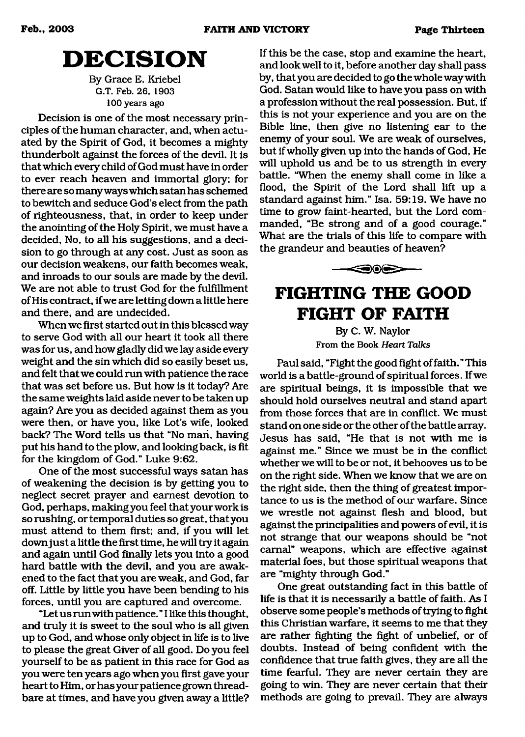## <span id="page-12-0"></span>**DECISION**

By Grace E. Kriebel G.T. Feb. 26. 1903 100 years ago

Decision is one of the most necessary principles of the human character, and, when actuated by the Spirit of God, it becomes a mighty thunderbolt against the forces of the devil. It is that which every child of God must have in order to ever reach heaven and immortal glory; for there are so many ways which satan has schemed to bewitch and seduce God's elect from the path of righteousness, that, in order to keep under the anointing of the Holy Spirit, we must have a decided, No, to all his suggestions, and a decision to go through at any cost. Just as soon as our decision weakens, our faith becomes weak, and inroads to our souls are made by the devil. We are not able to trust God for the fulfillment of His contract, if we are letting down a little here and there, and are undecided.

When we first started out in this blessed way to serve God with all our heart it took all there was for us, and how gladly did we lay aside every weight and the sin which did so easily beset us, and felt that we could run with patience the race that was set before us. But how is it today? Are the same weights laid aside never to be taken up again? Are you as decided against them as you were then, or have you, like Lot's wife, looked back? The Word tells us that "No man, having put his hand to the plow, and looking back, is fit for the kingdom of God." Luke 9:62.

One of the most successful ways satan has of weakening the decision is by getting you to neglect secret prayer and earnest devotion to God, perhaps, making you feel that your work is so rushing, or temporal duties so great, that you must attend to them first; and, if you will let down just a little the first time, he will try it again and again until God finally lets you into a good hard battle with the devil, and you are awakened to the fact that you are weak, and God, far off. Little by little you have been bending to his forces, until you are captured and overcome.

"Let us run with patience. " I like this thought, and truly it is sweet to the soul who is all given up to God, and whose only object in life is to live to please the great Giver of all good. Do you feel yourself to be as patient in this race for God as you were ten years ago when you first gave your heart to Him, or has your patience grown threadbare at times, and have you given away a little? If this be the case, stop and examine the heart, and look well to it, before another day shall pass by, that you are decided to go the whole way with God. Satan would like to have you pass on with a profession without the real possession. But, if this is not your experience and you are on the Bible line, then give no listening ear to the enemy of your soul. We are weak of ourselves, but if wholly given up into the hands of God, He will uphold us and be to us strength in every battle. "When the enemy shall come in like a flood, the Spirit of the Lord shall lift up a standard against him." Isa. 59:19. We have no time to grow faint-hearted, but the Lord commanded, "Be strong and of a good courage." What are the trials of this life to compare with the grandeur and beauties of heaven?

# **FIGHTING THE GOOD FIGHT OF FAITH**

30S

By C. W. Naylor From the Book *Heart Talks*

Paul said, "Fight the good fight of faith." This world is a battle-ground of spiritual forces. If we are spiritual beings, it is impossible that we should hold ourselves neutral and stand apart from those forces that are in conflict. We must stand on one side or the other of the battle array. Jesus has said, "He that is not with me is against me." Since we must be in the conflict whether we will to be or not, it behooves us to be on the right side. When we know that we are on the right side, then the thing of greatest importance to us is the method of our warfare. Since we wrestle not against flesh and blood, but against the principalities and powers of evil, it is not strange that our weapons should be "not carnal" weapons, which are effective against material foes, but those spiritual weapons that are "mighty through God."

One great outstanding fact in this battle of life is that it is necessarily a battle of faith. As I observe some people's methods of trying to fight this Christian warfare, it seems to me that they are rather fighting the fight of unbelief, or of doubts. Instead of being confident with the confidence that true faith gives, they are all the time fearful. They are never certain they are going to win. They are never certain that their methods are going to prevail. They are always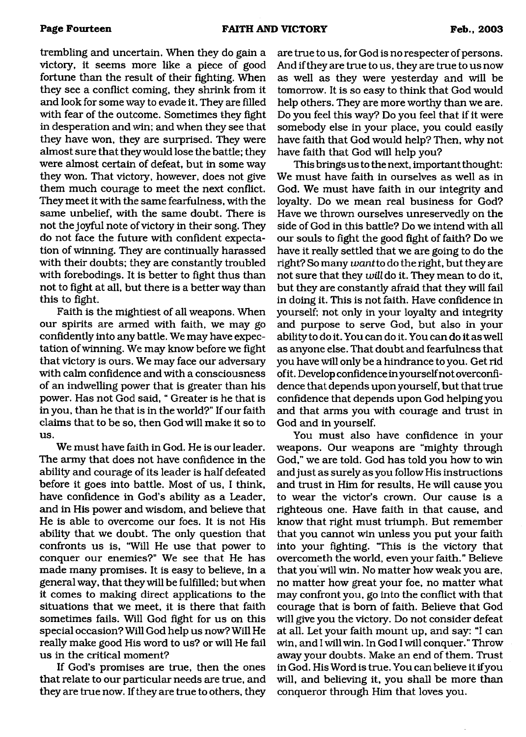trembling and uncertain. When they do gain a victory, it seems more like a piece of good fortune than the result of their fighting. When they see a conflict coming, they shrink from it and look for some way to evade it. They are filled with fear of the outcome. Sometimes they fight in desperation and win; and when they see that they have won, they are surprised. They were almost sure that they would lose the battle; they were almost certain of defeat, but in some way they won. That victory, however, does not give them much courage to meet the next conflict. They meet it with the same fearfulness, with the same unbelief, with the same doubt. There is not the joyful note of victory in their song. They do not face the future with confident expectation of winning. They are continually harassed with their doubts; they are constantly troubled with forebodings. It is better to fight thus than not to fight at all, but there is a better way than this to fight.

Faith is the mightiest of all weapons. When our spirits are armed with faith, we may go confidently into any battle. We may have expectation of winning. We may know before we fight that victory is ours. We may face our adversary with calm confidence and with a consciousness of an indwelling power that is greater than his power. Has not God said, " Greater is he that is in you, than he that is in the world?" If our faith claims that to be so, then God will make it so to us.

We must have faith in God. He is our leader. The army that does not have confidence in the ability and courage of its leader is half defeated before it goes into battle. Most of us, I think, have confidence in God's ability as a Leader, and in His power and wisdom, and believe that He is able to overcome our foes. It is not His ability that we doubt. The only question that confronts us is, "Will He use that power to conquer our enemies?" We see that He has made many promises. It is easy to believe, in a general way, that they will be fulfilled; but when it comes to making direct applications to the situations that we meet, it is there that faith sometimes fails. Will God fight for us on this special occasion? Will God help us now? Will He really make good His word to us? or will He fail us in the critical moment?

If God's promises are true, then the ones that relate to our particular needs are true, and they are true now. If they are true to others, they are true to us, for God is no respecter of persons. And if they are true to us, they are true to us now as well as they were yesterday and will be tomorrow. It is so easy to think that God would help others. They are more worthy than we are. Do you feel this way? Do you feel that if it were somebody else in your place, you could easily have faith that God would help? Then, why not have faith that God will help you?

This brings us to the next, important thought: We must have faith in ourselves as well as in God. We must have faith in our integrity and loyalty. Do we mean real business for God? Have we thrown ourselves unreservedly on the side of God in this battle? Do we intend with all our souls to fight the good fight of faith? Do we have it really settled that we are going to do the right? So many *want to* do the right, but they are not sure that they *will* do it. They mean to do it, but they are constantly afraid that they will fail in doing it. This is not faith. Have confidence in yourself; not only in your loyalty and integrity and purpose to serve God, but also in your ability to do it. You can do it. You can do it as well as anyone else. That doubt and fearfulness that you have will only be a hindrance to you. Get rid of it. Develop confidence in yourself not overconfidence that depends upon yourself, but that true confidence that depends upon God helping you and that arms you with courage and trust in God and in yourself.

You must also have confidence in your weapons. Our weapons are "mighty through God," we are told. God has told you how to win and just as surely as you follow His instructions and trust in Him for results, He will cause you to wear the victor's crown. Our cause is a righteous one. Have faith in that cause, and know that right must triumph. But remember that you cannot win unless you put your faith into your fighting. "This is the victory that overcometh the world, even your faith." Believe that you will win. No matter how weak you are, no matter how great your foe, no matter what may confront you, go into the conflict with that courage that is bom of faith. Believe that God will give you the victory. Do not consider defeat at all. Let your faith mount up, and say: "I can win, and I will win. In God I will conquer." Throw away your doubts. Make an end of them. Trust in God. His Word is true. You can believe it if you will, and believing it, you shall be more than conqueror through Him that loves you.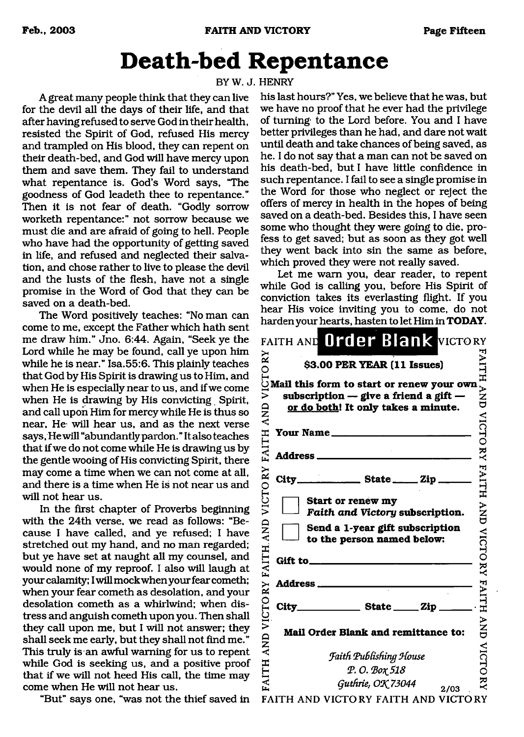# <span id="page-14-0"></span>**Death-bed Repentance**

BYW.J. HENRY

A great many people think that they can live for the devil all the days of their life, and that after having refused to serve God in their health, resisted the Spirit of God, refused His mercy and trampled on His blood, they can repent on their death-bed, and God will have mercy upon them and save them. They fail to understand what repentance is. God's Word says, "The goodness of God leadeth thee to repentance." Then it is not fear of death. "Godly sorrow worketh repentance:" not sorrow because we must die and are afraid of going to hell. People who have had the opportunity of getting saved in life, and refused and neglected their salvation, and chose rather to live to please the devil and the lusts of the flesh, have not a single promise in the Word of God that they can be saved on a death-bed.

The Word positively teaches: "No man can come to me, except the Father which hath sent me draw him." Jno. 6:44. Again, "Seek ye the Lord while he may be found, call ye upon him while he is near." Isa.55:6. This plainly teaches that God by His Spirit is drawing us to Him, and when He is especially near to us, and if we come when He is drawing by His convicting Spirit, and call upon Him for mercy while He is thus so near, He- will hear us, and as the next verse says, He will "abundantly pardon." It also teaches that if we do not come while He is drawing us by the gentle wooing of His convicting Spirit, there may come a time when we can not come at all, and there is a time when He is not near us and will not hear us.

In the first chapter of Proverbs beginning with the 24th verse, we read as follows: "Because I have called, and ye refused; I have stretched out my hand, and no man regarded; but ye have set at naught all my counsel, and would none of my reproof. I also will laugh at your calamity; I will mockwhen your fear cometh; when your fear cometh as desolation, and your desolation cometh as a whirlwind; when distress and anguish cometh upon you. Then shall they call upon me, but I will not answer; they shall seek me early, but they shall not find me." This truly is an awful warning for us to repent while God is seeking us, and a positive proof that if we will not heed His call, the time may come when He will not hear us.

"But" says one, "was not the thief saved in FAITH AND VICTORY FAITH AND VICTORY

his last hours?" Yes, we believe that he was, but we have no proof that he ever had the privilege of turning- to the Lord before. You and I have better privileges than he had, and dare not wait until death and take chances of being saved, as he. I do not say that a man can not be saved on his death-bed, but I have little confidence in such repentance. I fail to see a single promise in the Word for those who neglect or reject the offers of mercy in health in the hopes of being saved on a death-bed. Besides this, I have seen some who thought they were going to die, profess to get saved; but as soon as they got well they went back into sin the same as before, which proved they were not really saved.

Let me warn you, dear reader, to repent while God is calling you, before His Spirit of conviction takes its everlasting flight. If you hear His voice inviting you to come, do not harden your hearts, hasten to let Him in **TODAY.**